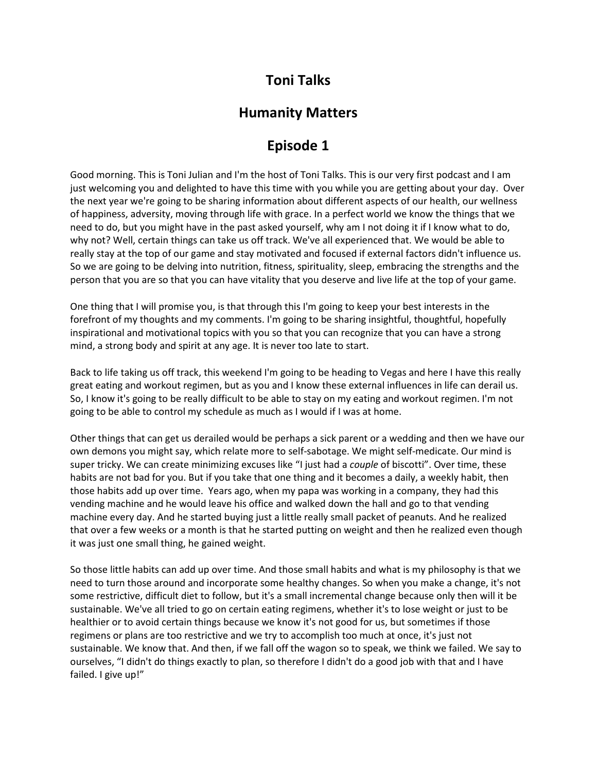## **Toni Talks**

## **Humanity Matters**

## **Episode 1**

Good morning. This is Toni Julian and I'm the host of Toni Talks. This is our very first podcast and I am just welcoming you and delighted to have this time with you while you are getting about your day. Over the next year we're going to be sharing information about different aspects of our health, our wellness of happiness, adversity, moving through life with grace. In a perfect world we know the things that we need to do, but you might have in the past asked yourself, why am I not doing it if I know what to do, why not? Well, certain things can take us off track. We've all experienced that. We would be able to really stay at the top of our game and stay motivated and focused if external factors didn't influence us. So we are going to be delving into nutrition, fitness, spirituality, sleep, embracing the strengths and the person that you are so that you can have vitality that you deserve and live life at the top of your game.

One thing that I will promise you, is that through this I'm going to keep your best interests in the forefront of my thoughts and my comments. I'm going to be sharing insightful, thoughtful, hopefully inspirational and motivational topics with you so that you can recognize that you can have a strong mind, a strong body and spirit at any age. It is never too late to start.

Back to life taking us off track, this weekend I'm going to be heading to Vegas and here I have this really great eating and workout regimen, but as you and I know these external influences in life can derail us. So, I know it's going to be really difficult to be able to stay on my eating and workout regimen. I'm not going to be able to control my schedule as much as I would if I was at home.

Other things that can get us derailed would be perhaps a sick parent or a wedding and then we have our own demons you might say, which relate more to self-sabotage. We might self-medicate. Our mind is super tricky. We can create minimizing excuses like "I just had a *couple* of biscotti". Over time, these habits are not bad for you. But if you take that one thing and it becomes a daily, a weekly habit, then those habits add up over time. Years ago, when my papa was working in a company, they had this vending machine and he would leave his office and walked down the hall and go to that vending machine every day. And he started buying just a little really small packet of peanuts. And he realized that over a few weeks or a month is that he started putting on weight and then he realized even though it was just one small thing, he gained weight.

So those little habits can add up over time. And those small habits and what is my philosophy is that we need to turn those around and incorporate some healthy changes. So when you make a change, it's not some restrictive, difficult diet to follow, but it's a small incremental change because only then will it be sustainable. We've all tried to go on certain eating regimens, whether it's to lose weight or just to be healthier or to avoid certain things because we know it's not good for us, but sometimes if those regimens or plans are too restrictive and we try to accomplish too much at once, it's just not sustainable. We know that. And then, if we fall off the wagon so to speak, we think we failed. We say to ourselves, "I didn't do things exactly to plan, so therefore I didn't do a good job with that and I have failed. I give up!"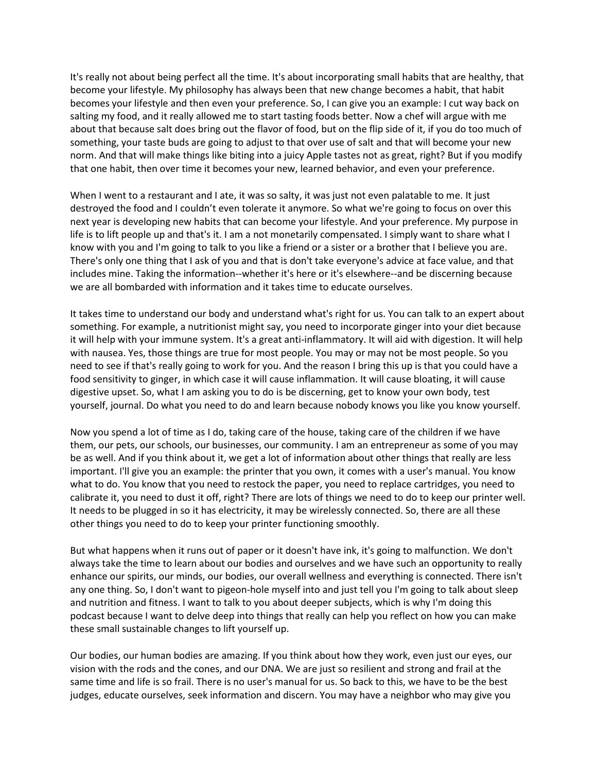It's really not about being perfect all the time. It's about incorporating small habits that are healthy, that become your lifestyle. My philosophy has always been that new change becomes a habit, that habit becomes your lifestyle and then even your preference. So, I can give you an example: I cut way back on salting my food, and it really allowed me to start tasting foods better. Now a chef will argue with me about that because salt does bring out the flavor of food, but on the flip side of it, if you do too much of something, your taste buds are going to adjust to that over use of salt and that will become your new norm. And that will make things like biting into a juicy Apple tastes not as great, right? But if you modify that one habit, then over time it becomes your new, learned behavior, and even your preference.

When I went to a restaurant and I ate, it was so salty, it was just not even palatable to me. It just destroyed the food and I couldn't even tolerate it anymore. So what we're going to focus on over this next year is developing new habits that can become your lifestyle. And your preference. My purpose in life is to lift people up and that's it. I am a not monetarily compensated. I simply want to share what I know with you and I'm going to talk to you like a friend or a sister or a brother that I believe you are. There's only one thing that I ask of you and that is don't take everyone's advice at face value, and that includes mine. Taking the information--whether it's here or it's elsewhere--and be discerning because we are all bombarded with information and it takes time to educate ourselves.

It takes time to understand our body and understand what's right for us. You can talk to an expert about something. For example, a nutritionist might say, you need to incorporate ginger into your diet because it will help with your immune system. It's a great anti-inflammatory. It will aid with digestion. It will help with nausea. Yes, those things are true for most people. You may or may not be most people. So you need to see if that's really going to work for you. And the reason I bring this up is that you could have a food sensitivity to ginger, in which case it will cause inflammation. It will cause bloating, it will cause digestive upset. So, what I am asking you to do is be discerning, get to know your own body, test yourself, journal. Do what you need to do and learn because nobody knows you like you know yourself.

Now you spend a lot of time as I do, taking care of the house, taking care of the children if we have them, our pets, our schools, our businesses, our community. I am an entrepreneur as some of you may be as well. And if you think about it, we get a lot of information about other things that really are less important. I'll give you an example: the printer that you own, it comes with a user's manual. You know what to do. You know that you need to restock the paper, you need to replace cartridges, you need to calibrate it, you need to dust it off, right? There are lots of things we need to do to keep our printer well. It needs to be plugged in so it has electricity, it may be wirelessly connected. So, there are all these other things you need to do to keep your printer functioning smoothly.

But what happens when it runs out of paper or it doesn't have ink, it's going to malfunction. We don't always take the time to learn about our bodies and ourselves and we have such an opportunity to really enhance our spirits, our minds, our bodies, our overall wellness and everything is connected. There isn't any one thing. So, I don't want to pigeon-hole myself into and just tell you I'm going to talk about sleep and nutrition and fitness. I want to talk to you about deeper subjects, which is why I'm doing this podcast because I want to delve deep into things that really can help you reflect on how you can make these small sustainable changes to lift yourself up.

Our bodies, our human bodies are amazing. If you think about how they work, even just our eyes, our vision with the rods and the cones, and our DNA. We are just so resilient and strong and frail at the same time and life is so frail. There is no user's manual for us. So back to this, we have to be the best judges, educate ourselves, seek information and discern. You may have a neighbor who may give you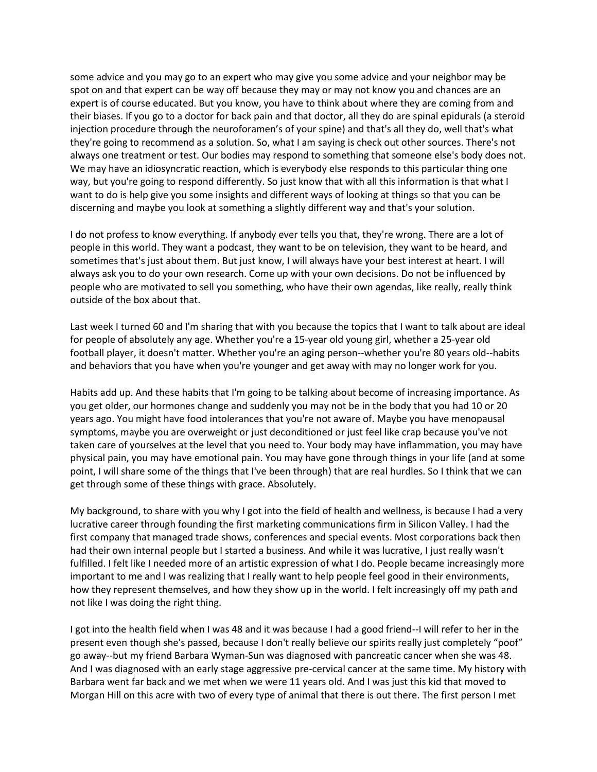some advice and you may go to an expert who may give you some advice and your neighbor may be spot on and that expert can be way off because they may or may not know you and chances are an expert is of course educated. But you know, you have to think about where they are coming from and their biases. If you go to a doctor for back pain and that doctor, all they do are spinal epidurals (a steroid injection procedure through the neuroforamen's of your spine) and that's all they do, well that's what they're going to recommend as a solution. So, what I am saying is check out other sources. There's not always one treatment or test. Our bodies may respond to something that someone else's body does not. We may have an idiosyncratic reaction, which is everybody else responds to this particular thing one way, but you're going to respond differently. So just know that with all this information is that what I want to do is help give you some insights and different ways of looking at things so that you can be discerning and maybe you look at something a slightly different way and that's your solution.

I do not profess to know everything. If anybody ever tells you that, they're wrong. There are a lot of people in this world. They want a podcast, they want to be on television, they want to be heard, and sometimes that's just about them. But just know, I will always have your best interest at heart. I will always ask you to do your own research. Come up with your own decisions. Do not be influenced by people who are motivated to sell you something, who have their own agendas, like really, really think outside of the box about that.

Last week I turned 60 and I'm sharing that with you because the topics that I want to talk about are ideal for people of absolutely any age. Whether you're a 15-year old young girl, whether a 25-year old football player, it doesn't matter. Whether you're an aging person--whether you're 80 years old--habits and behaviors that you have when you're younger and get away with may no longer work for you.

Habits add up. And these habits that I'm going to be talking about become of increasing importance. As you get older, our hormones change and suddenly you may not be in the body that you had 10 or 20 years ago. You might have food intolerances that you're not aware of. Maybe you have menopausal symptoms, maybe you are overweight or just deconditioned or just feel like crap because you've not taken care of yourselves at the level that you need to. Your body may have inflammation, you may have physical pain, you may have emotional pain. You may have gone through things in your life (and at some point, I will share some of the things that I've been through) that are real hurdles. So I think that we can get through some of these things with grace. Absolutely.

My background, to share with you why I got into the field of health and wellness, is because I had a very lucrative career through founding the first marketing communications firm in Silicon Valley. I had the first company that managed trade shows, conferences and special events. Most corporations back then had their own internal people but I started a business. And while it was lucrative, I just really wasn't fulfilled. I felt like I needed more of an artistic expression of what I do. People became increasingly more important to me and I was realizing that I really want to help people feel good in their environments, how they represent themselves, and how they show up in the world. I felt increasingly off my path and not like I was doing the right thing.

I got into the health field when I was 48 and it was because I had a good friend--I will refer to her in the present even though she's passed, because I don't really believe our spirits really just completely "poof" go away--but my friend Barbara Wyman-Sun was diagnosed with pancreatic cancer when she was 48. And I was diagnosed with an early stage aggressive pre-cervical cancer at the same time. My history with Barbara went far back and we met when we were 11 years old. And I was just this kid that moved to Morgan Hill on this acre with two of every type of animal that there is out there. The first person I met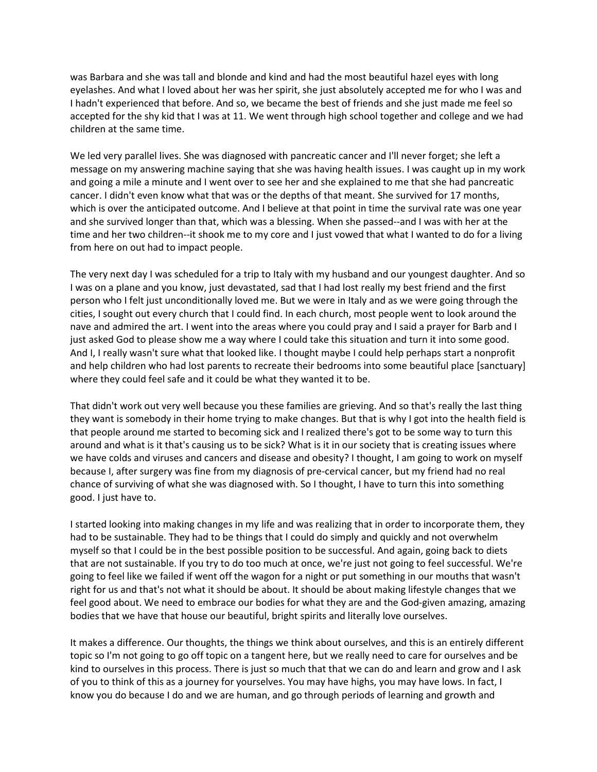was Barbara and she was tall and blonde and kind and had the most beautiful hazel eyes with long eyelashes. And what I loved about her was her spirit, she just absolutely accepted me for who I was and I hadn't experienced that before. And so, we became the best of friends and she just made me feel so accepted for the shy kid that I was at 11. We went through high school together and college and we had children at the same time.

We led very parallel lives. She was diagnosed with pancreatic cancer and I'll never forget; she left a message on my answering machine saying that she was having health issues. I was caught up in my work and going a mile a minute and I went over to see her and she explained to me that she had pancreatic cancer. I didn't even know what that was or the depths of that meant. She survived for 17 months, which is over the anticipated outcome. And I believe at that point in time the survival rate was one year and she survived longer than that, which was a blessing. When she passed--and I was with her at the time and her two children--it shook me to my core and I just vowed that what I wanted to do for a living from here on out had to impact people.

The very next day I was scheduled for a trip to Italy with my husband and our youngest daughter. And so I was on a plane and you know, just devastated, sad that I had lost really my best friend and the first person who I felt just unconditionally loved me. But we were in Italy and as we were going through the cities, I sought out every church that I could find. In each church, most people went to look around the nave and admired the art. I went into the areas where you could pray and I said a prayer for Barb and I just asked God to please show me a way where I could take this situation and turn it into some good. And I, I really wasn't sure what that looked like. I thought maybe I could help perhaps start a nonprofit and help children who had lost parents to recreate their bedrooms into some beautiful place [sanctuary] where they could feel safe and it could be what they wanted it to be.

That didn't work out very well because you these families are grieving. And so that's really the last thing they want is somebody in their home trying to make changes. But that is why I got into the health field is that people around me started to becoming sick and I realized there's got to be some way to turn this around and what is it that's causing us to be sick? What is it in our society that is creating issues where we have colds and viruses and cancers and disease and obesity? I thought, I am going to work on myself because I, after surgery was fine from my diagnosis of pre-cervical cancer, but my friend had no real chance of surviving of what she was diagnosed with. So I thought, I have to turn this into something good. I just have to.

I started looking into making changes in my life and was realizing that in order to incorporate them, they had to be sustainable. They had to be things that I could do simply and quickly and not overwhelm myself so that I could be in the best possible position to be successful. And again, going back to diets that are not sustainable. If you try to do too much at once, we're just not going to feel successful. We're going to feel like we failed if went off the wagon for a night or put something in our mouths that wasn't right for us and that's not what it should be about. It should be about making lifestyle changes that we feel good about. We need to embrace our bodies for what they are and the God-given amazing, amazing bodies that we have that house our beautiful, bright spirits and literally love ourselves.

It makes a difference. Our thoughts, the things we think about ourselves, and this is an entirely different topic so I'm not going to go off topic on a tangent here, but we really need to care for ourselves and be kind to ourselves in this process. There is just so much that that we can do and learn and grow and I ask of you to think of this as a journey for yourselves. You may have highs, you may have lows. In fact, I know you do because I do and we are human, and go through periods of learning and growth and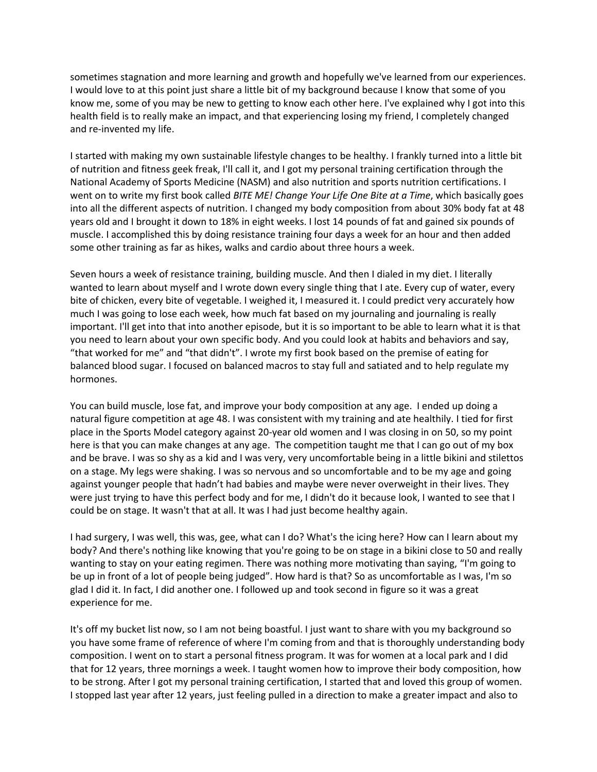sometimes stagnation and more learning and growth and hopefully we've learned from our experiences. I would love to at this point just share a little bit of my background because I know that some of you know me, some of you may be new to getting to know each other here. I've explained why I got into this health field is to really make an impact, and that experiencing losing my friend, I completely changed and re-invented my life.

I started with making my own sustainable lifestyle changes to be healthy. I frankly turned into a little bit of nutrition and fitness geek freak, I'll call it, and I got my personal training certification through the National Academy of Sports Medicine (NASM) and also nutrition and sports nutrition certifications. I went on to write my first book called *BITE ME! Change Your Life One Bite at a Time*, which basically goes into all the different aspects of nutrition. I changed my body composition from about 30% body fat at 48 years old and I brought it down to 18% in eight weeks. I lost 14 pounds of fat and gained six pounds of muscle. I accomplished this by doing resistance training four days a week for an hour and then added some other training as far as hikes, walks and cardio about three hours a week.

Seven hours a week of resistance training, building muscle. And then I dialed in my diet. I literally wanted to learn about myself and I wrote down every single thing that I ate. Every cup of water, every bite of chicken, every bite of vegetable. I weighed it, I measured it. I could predict very accurately how much I was going to lose each week, how much fat based on my journaling and journaling is really important. I'll get into that into another episode, but it is so important to be able to learn what it is that you need to learn about your own specific body. And you could look at habits and behaviors and say, "that worked for me" and "that didn't". I wrote my first book based on the premise of eating for balanced blood sugar. I focused on balanced macros to stay full and satiated and to help regulate my hormones.

You can build muscle, lose fat, and improve your body composition at any age. I ended up doing a natural figure competition at age 48. I was consistent with my training and ate healthily. I tied for first place in the Sports Model category against 20-year old women and I was closing in on 50, so my point here is that you can make changes at any age. The competition taught me that I can go out of my box and be brave. I was so shy as a kid and I was very, very uncomfortable being in a little bikini and stilettos on a stage. My legs were shaking. I was so nervous and so uncomfortable and to be my age and going against younger people that hadn't had babies and maybe were never overweight in their lives. They were just trying to have this perfect body and for me, I didn't do it because look, I wanted to see that I could be on stage. It wasn't that at all. It was I had just become healthy again.

I had surgery, I was well, this was, gee, what can I do? What's the icing here? How can I learn about my body? And there's nothing like knowing that you're going to be on stage in a bikini close to 50 and really wanting to stay on your eating regimen. There was nothing more motivating than saying, "I'm going to be up in front of a lot of people being judged". How hard is that? So as uncomfortable as I was, I'm so glad I did it. In fact, I did another one. I followed up and took second in figure so it was a great experience for me.

It's off my bucket list now, so I am not being boastful. I just want to share with you my background so you have some frame of reference of where I'm coming from and that is thoroughly understanding body composition. I went on to start a personal fitness program. It was for women at a local park and I did that for 12 years, three mornings a week. I taught women how to improve their body composition, how to be strong. After I got my personal training certification, I started that and loved this group of women. I stopped last year after 12 years, just feeling pulled in a direction to make a greater impact and also to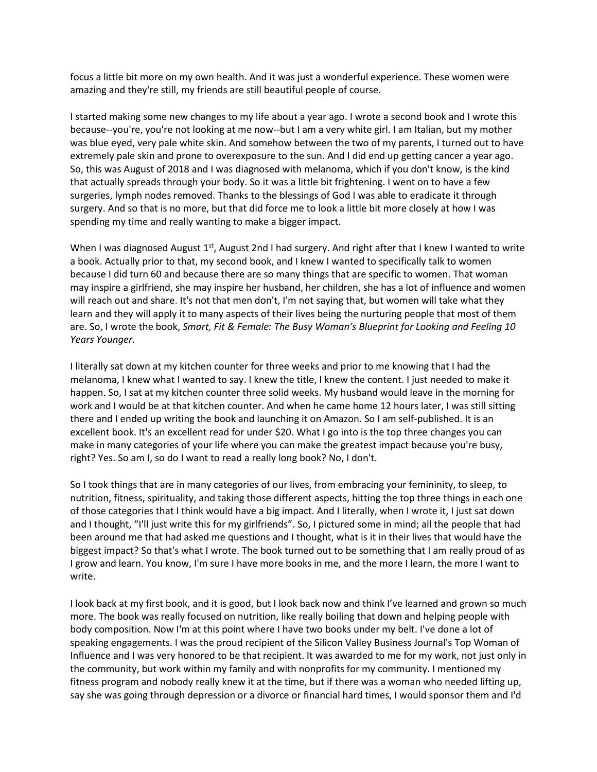focus a little bit more on my own health. And it was just a wonderful experience. These women were amazing and they're still, my friends are still beautiful people of course.

I started making some new changes to my life about a year ago. I wrote a second book and I wrote this because--you're, you're not looking at me now--but I am a very white girl. I am Italian, but my mother was blue eyed, very pale white skin. And somehow between the two of my parents, I turned out to have extremely pale skin and prone to overexposure to the sun. And I did end up getting cancer a year ago. So, this was August of 2018 and I was diagnosed with melanoma, which if you don't know, is the kind that actually spreads through your body. So it was a little bit frightening. I went on to have a few surgeries, lymph nodes removed. Thanks to the blessings of God I was able to eradicate it through surgery. And so that is no more, but that did force me to look a little bit more closely at how I was spending my time and really wanting to make a bigger impact.

When I was diagnosed August 1<sup>st</sup>, August 2nd I had surgery. And right after that I knew I wanted to write a book. Actually prior to that, my second book, and I knew I wanted to specifically talk to women because I did turn 60 and because there are so many things that are specific to women. That woman may inspire a girlfriend, she may inspire her husband, her children, she has a lot of influence and women will reach out and share. It's not that men don't, I'm not saying that, but women will take what they learn and they will apply it to many aspects of their lives being the nurturing people that most of them are. So, I wrote the book, *Smart, Fit & Female: The Busy Woman's Blueprint for Looking and Feeling 10 Years Younger.* 

I literally sat down at my kitchen counter for three weeks and prior to me knowing that I had the melanoma, I knew what I wanted to say. I knew the title, I knew the content. I just needed to make it happen. So, I sat at my kitchen counter three solid weeks. My husband would leave in the morning for work and I would be at that kitchen counter. And when he came home 12 hours later, I was still sitting there and I ended up writing the book and launching it on Amazon. So I am self-published. It is an excellent book. It's an excellent read for under \$20. What I go into is the top three changes you can make in many categories of your life where you can make the greatest impact because you're busy, right? Yes. So am I, so do I want to read a really long book? No, I don't.

So I took things that are in many categories of our lives, from embracing your femininity, to sleep, to nutrition, fitness, spirituality, and taking those different aspects, hitting the top three things in each one of those categories that I think would have a big impact. And I literally, when I wrote it, I just sat down and I thought, "I'll just write this for my girlfriends". So, I pictured some in mind; all the people that had been around me that had asked me questions and I thought, what is it in their lives that would have the biggest impact? So that's what I wrote. The book turned out to be something that I am really proud of as I grow and learn. You know, I'm sure I have more books in me, and the more I learn, the more I want to write.

I look back at my first book, and it is good, but I look back now and think I've learned and grown so much more. The book was really focused on nutrition, like really boiling that down and helping people with body composition. Now I'm at this point where I have two books under my belt. I've done a lot of speaking engagements. I was the proud recipient of the Silicon Valley Business Journal's Top Woman of Influence and I was very honored to be that recipient. It was awarded to me for my work, not just only in the community, but work within my family and with nonprofits for my community. I mentioned my fitness program and nobody really knew it at the time, but if there was a woman who needed lifting up, say she was going through depression or a divorce or financial hard times, I would sponsor them and I'd